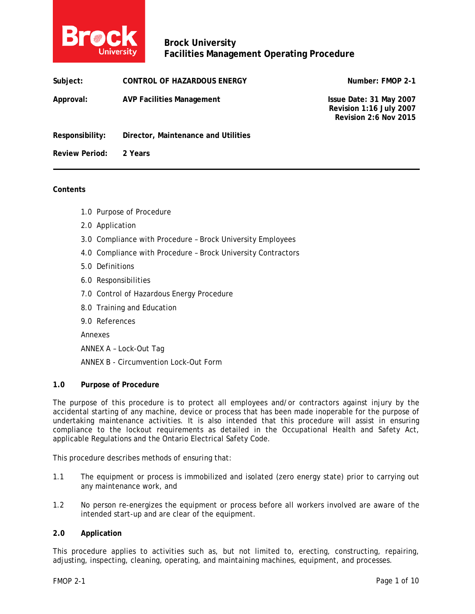

| Subject:              | CONTROL OF HAZARDOUS ENERGY         | Number: FMOP 2-1                                                            |
|-----------------------|-------------------------------------|-----------------------------------------------------------------------------|
| Approval:             | <b>AVP Facilities Management</b>    | Issue Date: 31 May 2007<br>Revision 1:16 July 2007<br>Revision 2:6 Nov 2015 |
| Responsibility:       | Director, Maintenance and Utilities |                                                                             |
| <b>Review Period:</b> | 2 Years                             |                                                                             |

#### **Contents**

- 1.0 Purpose of Procedure
- 2.0 Application
- 3.0 Compliance with Procedure Brock University Employees
- 4.0 Compliance with Procedure Brock University Contractors
- 5.0 Definitions
- 6.0 Responsibilities
- 7.0 Control of Hazardous Energy Procedure
- 8.0 Training and Education
- 9.0 References

Annexes

ANNEX A – Lock-Out Tag

ANNEX B - Circumvention Lock-Out Form

#### **1.0 Purpose of Procedure**

The purpose of this procedure is to protect all employees and/or contractors against injury by the accidental starting of any machine, device or process that has been made inoperable for the purpose of undertaking maintenance activities. It is also intended that this procedure will assist in ensuring compliance to the lockout requirements as detailed in the Occupational Health and Safety Act, applicable Regulations and the Ontario Electrical Safety Code.

This procedure describes methods of ensuring that:

- 1.1 The equipment or process is immobilized and isolated (zero energy state) prior to carrying out any maintenance work, and
- 1.2 No person re-energizes the equipment or process before all workers involved are aware of the intended start-up and are clear of the equipment.

#### **2.0 Application**

This procedure applies to activities such as, but not limited to, erecting, constructing, repairing, adjusting, inspecting, cleaning, operating, and maintaining machines, equipment, and processes.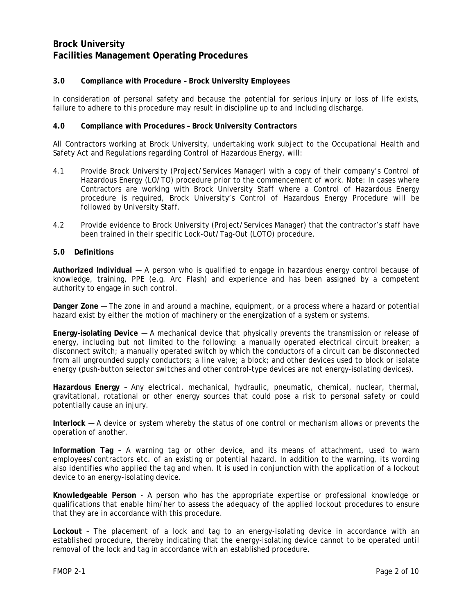### **3.0 Compliance with Procedure – Brock University Employees**

In consideration of personal safety and because the potential for serious injury or loss of life exists, failure to adhere to this procedure may result in discipline up to and including discharge.

#### **4.0 Compliance with Procedures – Brock University Contractors**

All Contractors working at Brock University, undertaking work subject to the Occupational Health and Safety Act and Regulations regarding Control of Hazardous Energy, will:

- 4.1 Provide Brock University (Project/Services Manager) with a copy of their company's Control of Hazardous Energy (LO/TO) procedure prior to the commencement of work. Note: In cases where Contractors are working with Brock University Staff where a Control of Hazardous Energy procedure is required, Brock University's Control of Hazardous Energy Procedure will be followed by University Staff.
- 4.2 Provide evidence to Brock University (Project/Services Manager) that the contractor's staff have been trained in their specific Lock-Out/Tag-Out (LOTO) procedure.

#### **5.0 Definitions**

**Authorized Individual** — A person who is qualified to engage in hazardous energy control because of knowledge, training, PPE (e.g. Arc Flash) and experience and has been assigned by a competent authority to engage in such control.

**Danger Zone** — The zone in and around a machine, equipment, or a process where a hazard or potential hazard exist by either the motion of machinery or the energization of a system or systems.

**Energy-isolating Device** — A mechanical device that physically prevents the transmission or release of energy, including but not limited to the following: a manually operated electrical circuit breaker; a disconnect switch; a manually operated switch by which the conductors of a circuit can be disconnected from all ungrounded supply conductors; a line valve; a block; and other devices used to block or isolate energy (push-button selector switches and other control-type devices are not energy-isolating devices).

**Hazardous Energy** – Any electrical, mechanical, hydraulic, pneumatic, chemical, nuclear, thermal, gravitational, rotational or other energy sources that could pose a risk to personal safety or could potentially cause an injury.

**Interlock** — A device or system whereby the status of one control or mechanism allows or prevents the operation of another.

**Information Tag** – A warning tag or other device, and its means of attachment, used to warn employees/contractors etc. of an existing or potential hazard. In addition to the warning, its wording also identifies who applied the tag and when. It is used in conjunction with the application of a lockout device to an energy-isolating device.

**Knowledgeable Person** - A person who has the appropriate expertise or professional knowledge or qualifications that enable him/her to assess the adequacy of the applied lockout procedures to ensure that they are in accordance with this procedure.

**Lockout** – The placement of a lock and tag to an energy-isolating device in accordance with an established procedure, thereby indicating that the energy-isolating device cannot to be operated until removal of the lock and tag in accordance with an established procedure.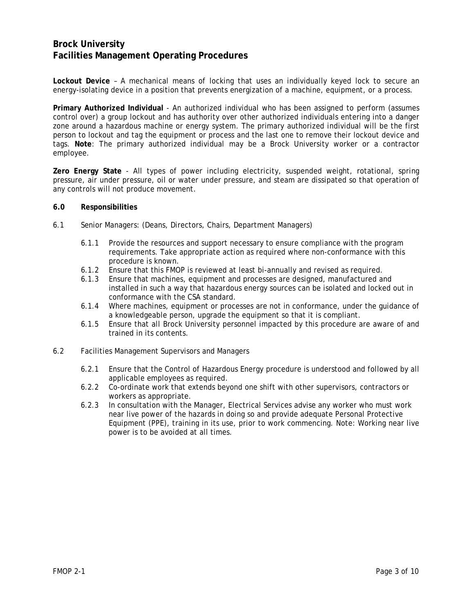**Lockout Device** – A mechanical means of locking that uses an individually keyed lock to secure an energy-isolating device in a position that prevents energization of a machine, equipment, or a process.

**Primary Authorized Individual** - An authorized individual who has been assigned to perform (assumes control over) a group lockout and has authority over other authorized individuals entering into a danger zone around a hazardous machine or energy system. The primary authorized individual will be the first person to lockout and tag the equipment or process and the last one to remove their lockout device and tags. **Note**: The primary authorized individual may be a Brock University worker or a contractor employee.

**Zero Energy State** - All types of power including electricity, suspended weight, rotational, spring pressure, air under pressure, oil or water under pressure, and steam are dissipated so that operation of any controls will not produce movement.

#### **6.0 Responsibilities**

- 6.1 Senior Managers: (Deans, Directors, Chairs, Department Managers)
	- 6.1.1 Provide the resources and support necessary to ensure compliance with the program requirements. Take appropriate action as required where non-conformance with this procedure is known.
	- 6.1.2 Ensure that this FMOP is reviewed at least bi-annually and revised as required.
	- 6.1.3 Ensure that machines, equipment and processes are designed, manufactured and installed in such a way that hazardous energy sources can be isolated and locked out in conformance with the CSA standard.
	- 6.1.4 Where machines, equipment or processes are not in conformance, under the guidance of a knowledgeable person, upgrade the equipment so that it is compliant.
	- 6.1.5 Ensure that all Brock University personnel impacted by this procedure are aware of and trained in its contents.
- 6.2 Facilities Management Supervisors and Managers
	- 6.2.1 Ensure that the Control of Hazardous Energy procedure is understood and followed by all applicable employees as required.
	- 6.2.2 Co-ordinate work that extends beyond one shift with other supervisors, contractors or workers as appropriate.
	- 6.2.3 In consultation with the Manager, Electrical Services advise any worker who must work near live power of the hazards in doing so and provide adequate Personal Protective Equipment (PPE), training in its use, prior to work commencing. Note: Working near live power is to be avoided at all times.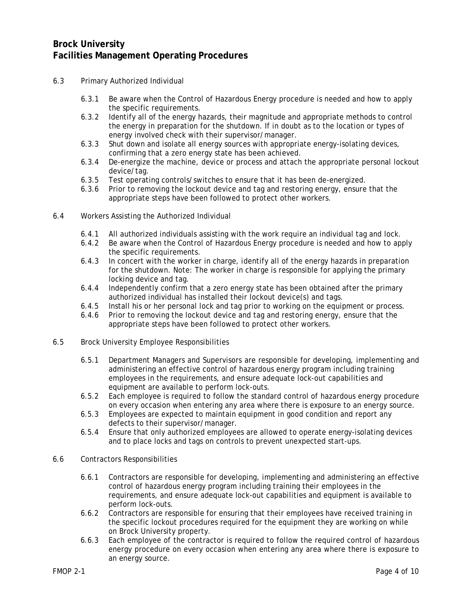- 6.3 Primary Authorized Individual
	- 6.3.1 Be aware when the Control of Hazardous Energy procedure is needed and how to apply the specific requirements.
	- 6.3.2 Identify all of the energy hazards, their magnitude and appropriate methods to control the energy in preparation for the shutdown. If in doubt as to the location or types of energy involved check with their supervisor/manager.
	- 6.3.3 Shut down and isolate all energy sources with appropriate energy-isolating devices, confirming that a zero energy state has been achieved.
	- 6.3.4 De-energize the machine, device or process and attach the appropriate personal lockout device/tag.
	- 6.3.5 Test operating controls/switches to ensure that it has been de-energized.
	- 6.3.6 Prior to removing the lockout device and tag and restoring energy, ensure that the appropriate steps have been followed to protect other workers.
- 6.4 Workers Assisting the Authorized Individual
	- 6.4.1 All authorized individuals assisting with the work require an individual tag and lock.
	- 6.4.2 Be aware when the Control of Hazardous Energy procedure is needed and how to apply the specific requirements.
	- 6.4.3 In concert with the worker in charge, identify all of the energy hazards in preparation for the shutdown. Note: The worker in charge is responsible for applying the primary locking device and tag.
	- 6.4.4 Independently confirm that a zero energy state has been obtained after the primary authorized individual has installed their lockout device(s) and tags.
	- 6.4.5 Install his or her personal lock and tag prior to working on the equipment or process.
	- 6.4.6 Prior to removing the lockout device and tag and restoring energy, ensure that the appropriate steps have been followed to protect other workers.
- 6.5 Brock University Employee Responsibilities
	- 6.5.1 Department Managers and Supervisors are responsible for developing, implementing and administering an effective control of hazardous energy program including training employees in the requirements, and ensure adequate lock-out capabilities and equipment are available to perform lock-outs.
	- 6.5.2 Each employee is required to follow the standard control of hazardous energy procedure on every occasion when entering any area where there is exposure to an energy source.
	- 6.5.3 Employees are expected to maintain equipment in good condition and report any defects to their supervisor/manager.
	- 6.5.4 Ensure that only authorized employees are allowed to operate energy-isolating devices and to place locks and tags on controls to prevent unexpected start-ups.
- 6.6 Contractors Responsibilities
	- 6.6.1 Contractors are responsible for developing, implementing and administering an effective control of hazardous energy program including training their employees in the requirements, and ensure adequate lock-out capabilities and equipment is available to perform lock-outs.
	- 6.6.2 Contractors are responsible for ensuring that their employees have received training in the specific lockout procedures required for the equipment they are working on while on Brock University property.
	- 6.6.3 Each employee of the contractor is required to follow the required control of hazardous energy procedure on every occasion when entering any area where there is exposure to an energy source.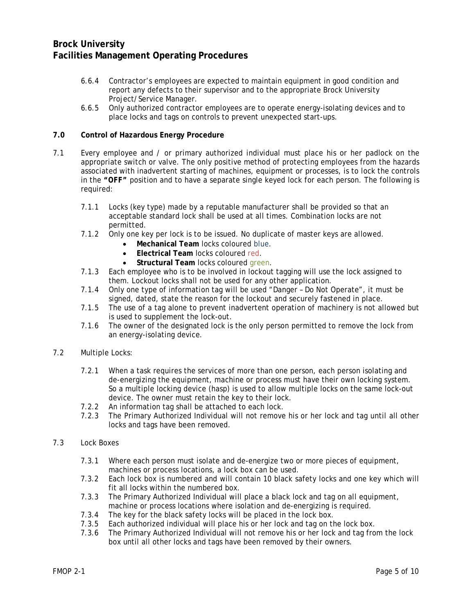- 6.6.4 Contractor's employees are expected to maintain equipment in good condition and report any defects to their supervisor and to the appropriate Brock University Project/Service Manager.
- 6.6.5 Only authorized contractor employees are to operate energy-isolating devices and to place locks and tags on controls to prevent unexpected start-ups.

#### **7.0 Control of Hazardous Energy Procedure**

- 7.1 Every employee and / or primary authorized individual must place his or her padlock on the appropriate switch or valve. The only positive method of protecting employees from the hazards associated with inadvertent starting of machines, equipment or processes, is to lock the controls in the *"OFF"* position and to have a separate single keyed lock for each person. The following is required:
	- 7.1.1 Locks (key type) made by a reputable manufacturer shall be provided so that an acceptable standard lock shall be used at all times. Combination locks are not permitted.
	- 7.1.2 Only one key per lock is to be issued. No duplicate of master keys are allowed.
		- **Mechanical Team** locks coloured blue.
			- **Electrical Team** locks coloured red.
			- **Structural Team locks coloured green.**
	- 7.1.3 Each employee who is to be involved in lockout tagging will use the lock assigned to them. Lockout locks shall not be used for any other application.
	- 7.1.4 Only one type of information tag will be used "Danger Do Not Operate", it must be signed, dated, state the reason for the lockout and securely fastened in place.
	- 7.1.5 The use of a tag alone to prevent inadvertent operation of machinery is not allowed but is used to supplement the lock-out.
	- 7.1.6 The owner of the designated lock is the only person permitted to remove the lock from an energy-isolating device.
- 7.2 Multiple Locks:
	- 7.2.1 When a task requires the services of more than one person, each person isolating and de-energizing the equipment, machine or process must have their own locking system. So a multiple locking device (hasp) is used to allow multiple locks on the same lock-out device. The owner must retain the key to their lock.
	- 7.2.2 An information tag shall be attached to each lock.
	- 7.2.3 The Primary Authorized Individual will not remove his or her lock and tag until all other locks and tags have been removed.
- 7.3 Lock Boxes
	- 7.3.1 Where each person must isolate and de-energize two or more pieces of equipment, machines or process locations, a lock box can be used.
	- 7.3.2 Each lock box is numbered and will contain 10 black safety locks and one key which will fit all locks within the numbered box.
	- 7.3.3 The Primary Authorized Individual will place a black lock and tag on all equipment, machine or process locations where isolation and de-energizing is required.
	- 7.3.4 The key for the black safety locks will be placed in the lock box.
	- 7.3.5 Each authorized individual will place his or her lock and tag on the lock box.
	- 7.3.6 The Primary Authorized Individual will not remove his or her lock and tag from the lock box until all other locks and tags have been removed by their owners.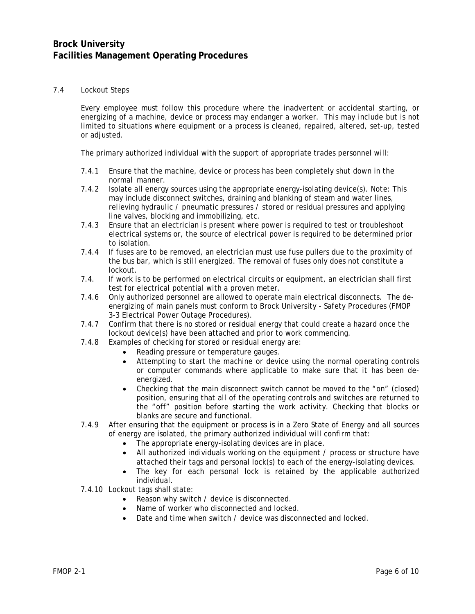#### 7.4 Lockout Steps

Every employee must follow this procedure where the inadvertent or accidental starting, or energizing of a machine, device or process may endanger a worker. This may include but is not limited to situations where equipment or a process is cleaned, repaired, altered, set-up, tested or adjusted.

The primary authorized individual with the support of appropriate trades personnel will:

- 7.4.1 Ensure that the machine, device or process has been completely shut down in the normal manner.
- 7.4.2 Isolate all energy sources using the appropriate energy-isolating device(s). *Note:* This may include disconnect switches, draining and blanking of steam and water lines, relieving hydraulic / pneumatic pressures / stored or residual pressures and applying line valves, blocking and immobilizing, etc.
- 7.4.3 Ensure that an electrician is present where power is required to test or troubleshoot electrical systems or, the source of electrical power is required to be determined prior to isolation.
- 7.4.4 If fuses are to be removed, an electrician must use fuse pullers due to the proximity of the bus bar, which is still energized. The removal of fuses only does not constitute a lockout.
- 7.4. If work is to be performed on electrical circuits or equipment, an electrician shall first test for electrical potential with a proven meter.
- 7.4.6 Only authorized personnel are allowed to operate main electrical disconnects. The deenergizing of main panels must conform to Brock University - Safety Procedures (FMOP 3-3 Electrical Power Outage Procedures).
- 7.4.7 Confirm that there is no stored or residual energy that could create a hazard once the lockout device(s) have been attached and prior to work commencing.
- 7.4.8 Examples of checking for stored or residual energy are:
	- Reading pressure or temperature gauges.
	- Attempting to start the machine or device using the normal operating controls or computer commands where applicable to make sure that it has been deenergized.
	- Checking that the main disconnect switch cannot be moved to the "on" (closed) position, ensuring that all of the operating controls and switches are returned to the "off" position before starting the work activity. Checking that blocks or blanks are secure and functional.
- 7.4.9 After ensuring that the equipment or process is in a Zero State of Energy and all sources of energy are isolated, the primary authorized individual will confirm that:
	- The appropriate energy-isolating devices are in place.
	- All authorized individuals working on the equipment / process or structure have attached their tags and personal lock(s) to each of the energy-isolating devices.
	- The key for each personal lock is retained by the applicable authorized individual.
- 7.4.10 Lockout tags shall state:
	- Reason why switch / device is disconnected.
	- Name of worker who disconnected and locked.
	- Date and time when switch / device was disconnected and locked.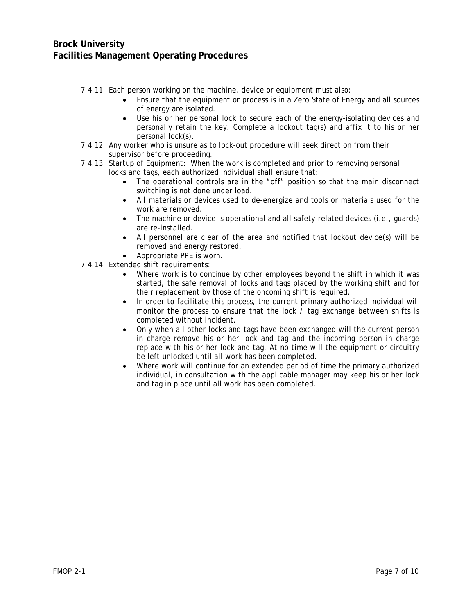- 7.4.11 Each person working on the machine, device or equipment must also:
	- Ensure that the equipment or process is in a Zero State of Energy and all sources of energy are isolated.
	- Use his or her personal lock to secure each of the energy-isolating devices and personally retain the key. Complete a lockout tag(s) and affix it to his or her personal lock(s).
- 7.4.12 Any worker who is unsure as to lock-out procedure will seek direction from their supervisor before proceeding.
- 7.4.13 Startup of Equipment: When the work is completed and prior to removing personal locks and tags, each authorized individual shall ensure that:
	- The operational controls are in the "off" position so that the main disconnect switching is not done under load.
	- All materials or devices used to de-energize and tools or materials used for the work are removed.
	- The machine or device is operational and all safety-related devices (i.e., quards) are re-installed.
	- All personnel are clear of the area and notified that lockout device(s) will be removed and energy restored.
	- Appropriate PPE is worn.
- 7.4.14 Extended shift requirements:
	- Where work is to continue by other employees beyond the shift in which it was started, the safe removal of locks and tags placed by the working shift and for their replacement by those of the oncoming shift is required.
	- In order to facilitate this process, the current primary authorized individual will monitor the process to ensure that the lock / tag exchange between shifts is completed without incident.
	- Only when all other locks and tags have been exchanged will the current person in charge remove his or her lock and tag and the incoming person in charge replace with his or her lock and tag. At no time will the equipment or circuitry be left unlocked until all work has been completed.
	- Where work will continue for an extended period of time the primary authorized individual, in consultation with the applicable manager may keep his or her lock and tag in place until all work has been completed.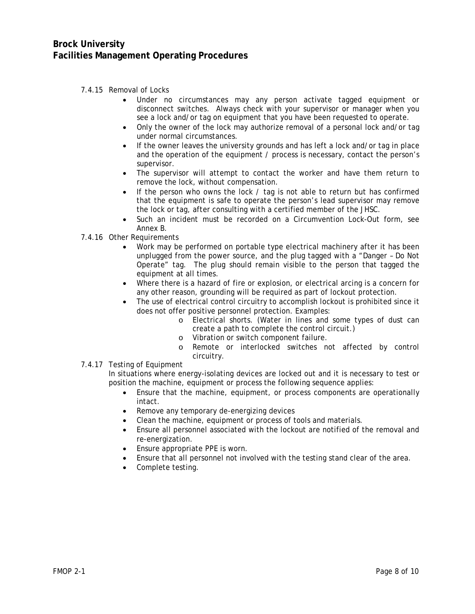- 7.4.15 Removal of Locks
	- Under no circumstances may any person activate tagged equipment or disconnect switches. Always check with your supervisor or manager when you see a lock and/or tag on equipment that you have been requested to operate.
	- Only the owner of the lock may authorize removal of a personal lock and/or tag under normal circumstances.
	- If the owner leaves the university grounds and has left a lock and/or tag in place and the operation of the equipment / process is necessary, contact the person's supervisor.
	- The supervisor will attempt to contact the worker and have them return to remove the lock, without compensation.
	- If the person who owns the lock / tag is not able to return but has confirmed that the equipment is safe to operate the person's lead supervisor may remove the lock or tag, after consulting with a certified member of the JHSC.
	- Such an incident must be recorded on a Circumvention Lock-Out form, see Annex B.
- 7.4.16 Other Requirements
	- Work may be performed on portable type electrical machinery after it has been unplugged from the power source, and the plug tagged with a "Danger – Do Not Operate" tag. The plug should remain visible to the person that tagged the equipment at all times.
	- Where there is a hazard of fire or explosion, or electrical arcing is a concern for any other reason, grounding will be required as part of lockout protection.
	- The use of electrical control circuitry to accomplish lockout is prohibited since it does not offer positive personnel protection. Examples:
		- o Electrical shorts. (Water in lines and some types of dust can create a path to complete the control circuit.)
		- o Vibration or switch component failure.<br>  $\Omega$  Remote or interlocked switches no
		- Remote or interlocked switches not affected by control circuitry.
- 7.4.17 Testing of Equipment

In situations where energy-isolating devices are locked out and it is necessary to test or position the machine, equipment or process the following sequence applies:

- Ensure that the machine, equipment, or process components are operationally intact.
- Remove any temporary de-energizing devices
- Clean the machine, equipment or process of tools and materials.
- Ensure all personnel associated with the lockout are notified of the removal and re-energization.
- Ensure appropriate PPE is worn.
- Ensure that all personnel not involved with the testing stand clear of the area.
- Complete testing.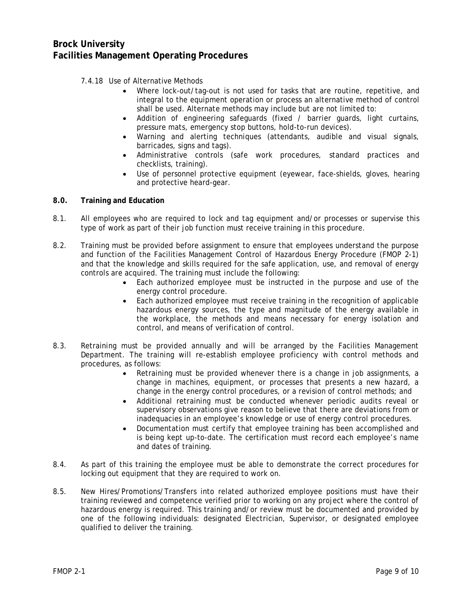- 7.4.18 Use of Alternative Methods
	- Where lock-out/tag-out is not used for tasks that are routine, repetitive, and integral to the equipment operation or process an alternative method of control shall be used. Alternate methods may include but are not limited to:
	- Addition of engineering safeguards (fixed / barrier guards, light curtains, pressure mats, emergency stop buttons, hold-to-run devices).
	- Warning and alerting techniques (attendants, audible and visual signals, barricades, signs and tags).
	- Administrative controls (safe work procedures, standard practices and checklists, training).
	- Use of personnel protective equipment (eyewear, face-shields, gloves, hearing and protective heard-gear.
- **8.0. Training and Education**
- 8.1. All employees who are required to lock and tag equipment and/or processes or supervise this type of work as part of their job function must receive training in this procedure.
- 8.2. Training must be provided before assignment to ensure that employees understand the purpose and function of the Facilities Management Control of Hazardous Energy Procedure (FMOP 2-1) and that the knowledge and skills required for the safe application, use, and removal of energy controls are acquired. The training must include the following:
	- Each authorized employee must be instructed in the purpose and use of the energy control procedure.
	- Each authorized employee must receive training in the recognition of applicable hazardous energy sources, the type and magnitude of the energy available in the workplace, the methods and means necessary for energy isolation and control, and means of verification of control.
- 8.3. Retraining must be provided annually and will be arranged by the Facilities Management Department. The training will re-establish employee proficiency with control methods and procedures, as follows:
	- Retraining must be provided whenever there is a change in job assignments, a change in machines, equipment, or processes that presents a new hazard, a change in the energy control procedures, or a revision of control methods; and
	- Additional retraining must be conducted whenever periodic audits reveal or supervisory observations give reason to believe that there are deviations from or inadequacies in an employee's knowledge or use of energy control procedures.
	- Documentation must certify that employee training has been accomplished and is being kept up-to-date. The certification must record each employee's name and dates of training.
- 8.4. As part of this training the employee must be able to demonstrate the correct procedures for locking out equipment that they are required to work on.
- 8.5. New Hires/Promotions/Transfers into related authorized employee positions must have their training reviewed and competence verified prior to working on any project where the control of hazardous energy is required. This training and/or review must be documented and provided by one of the following individuals: designated Electrician, Supervisor, or designated employee qualified to deliver the training.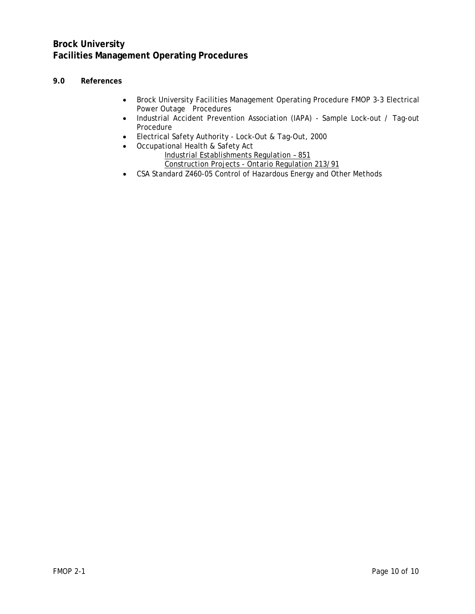## **9.0 References**

- Brock University Facilities Management Operating Procedure FMOP 3-3 Electrical Power Outage Procedures
- Industrial Accident Prevention Association (IAPA) Sample Lock-out / Tag-out Procedure
- Electrical Safety Authority Lock-Out & Tag-Out, 2000
- Occupational Health & Safety Act Industrial Establishments Regulation – 851 Construction Projects - Ontario Regulation 213/91
- CSA Standard Z460-05 Control of Hazardous Energy and Other Methods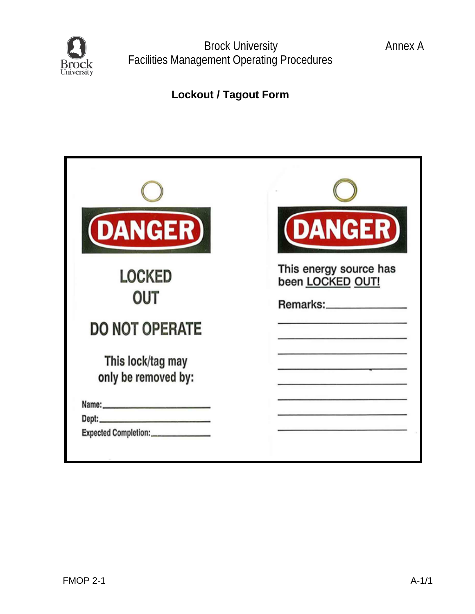

**Lockout / Tagout Form**

| <b>(DANGER)</b>                                                                                                                                                                                                                                                        | <b>DANGER</b>                                          |
|------------------------------------------------------------------------------------------------------------------------------------------------------------------------------------------------------------------------------------------------------------------------|--------------------------------------------------------|
| <b>LOCKED</b><br>OUT                                                                                                                                                                                                                                                   | This energy source has<br>been LOCKED OUT!<br>Remarks: |
| <b>DO NOT OPERATE</b>                                                                                                                                                                                                                                                  |                                                        |
| This lock/tag may<br>only be removed by:                                                                                                                                                                                                                               |                                                        |
| Name: Name and the state of the state of the state of the state of the state of the state of the state of the state of the state of the state of the state of the state of the state of the state of the state of the state of<br>Expected Completion:________________ |                                                        |